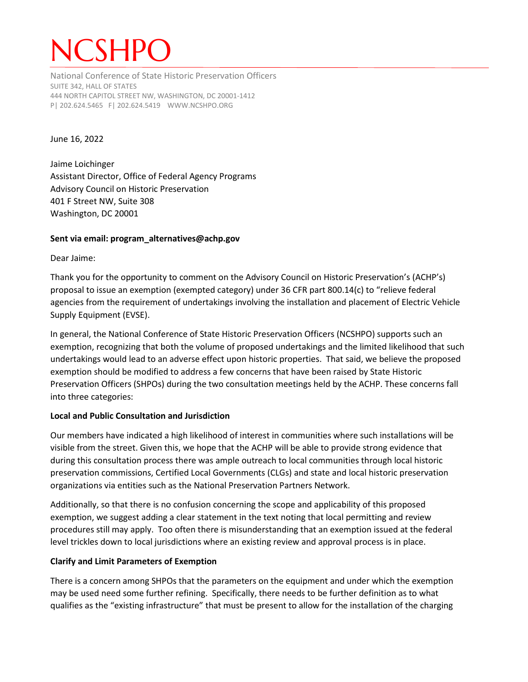# **ICSHPC**

National Conference of State Historic Preservation Officers SUITE 342, HALL OF STATES 444 NORTH CAPITOL STREET NW, WASHINGTON, DC 20001-1412 P| 202.624.5465 F| 202.624.5419 WWW.NCSHPO.ORG

#### June 16, 2022

Jaime Loichinger Assistant Director, Office of Federal Agency Programs Advisory Council on Historic Preservation 401 F Street NW, Suite 308 Washington, DC 20001

### **Sent via email: program\_alternatives@achp.gov**

Dear Jaime:

Thank you for the opportunity to comment on the Advisory Council on Historic Preservation's (ACHP's) proposal to issue an exemption (exempted category) under 36 CFR part 800.14(c) to "relieve federal agencies from the requirement of undertakings involving the installation and placement of Electric Vehicle Supply Equipment (EVSE).

In general, the National Conference of State Historic Preservation Officers (NCSHPO) supports such an exemption, recognizing that both the volume of proposed undertakings and the limited likelihood that such undertakings would lead to an adverse effect upon historic properties. That said, we believe the proposed exemption should be modified to address a few concerns that have been raised by State Historic Preservation Officers (SHPOs) during the two consultation meetings held by the ACHP. These concerns fall into three categories:

# **Local and Public Consultation and Jurisdiction**

Our members have indicated a high likelihood of interest in communities where such installations will be visible from the street. Given this, we hope that the ACHP will be able to provide strong evidence that during this consultation process there was ample outreach to local communities through local historic preservation commissions, Certified Local Governments (CLGs) and state and local historic preservation organizations via entities such as the National Preservation Partners Network.

Additionally, so that there is no confusion concerning the scope and applicability of this proposed exemption, we suggest adding a clear statement in the text noting that local permitting and review procedures still may apply. Too often there is misunderstanding that an exemption issued at the federal level trickles down to local jurisdictions where an existing review and approval process is in place.

# **Clarify and Limit Parameters of Exemption**

There is a concern among SHPOs that the parameters on the equipment and under which the exemption may be used need some further refining. Specifically, there needs to be further definition as to what qualifies as the "existing infrastructure" that must be present to allow for the installation of the charging